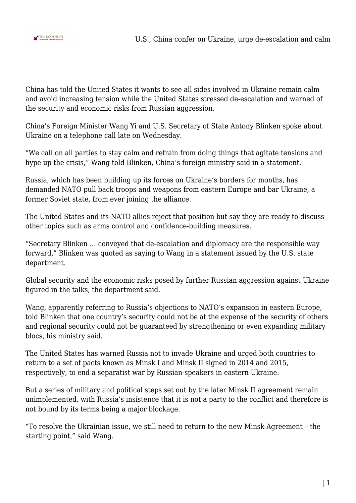

China has told the United States it wants to see all sides involved in Ukraine remain calm and avoid increasing tension while the United States stressed de-escalation and warned of the security and economic risks from Russian aggression.

China's Foreign Minister Wang Yi and U.S. Secretary of State Antony Blinken spoke about Ukraine on a telephone call late on Wednesday.

"We call on all parties to stay calm and refrain from doing things that agitate tensions and hype up the crisis," Wang told Blinken, China's foreign ministry said in a statement.

Russia, which has been building up its forces on Ukraine's borders for months, has demanded NATO pull back troops and weapons from eastern Europe and bar Ukraine, a former Soviet state, from ever joining the alliance.

The United States and its NATO allies reject that position but say they are ready to discuss other topics such as arms control and confidence-building measures.

"Secretary Blinken … conveyed that de-escalation and diplomacy are the responsible way forward," Blinken was quoted as saying to Wang in a statement issued by the U.S. state department.

Global security and the economic risks posed by further Russian aggression against Ukraine figured in the talks, the department said.

Wang, apparently referring to Russia's objections to NATO's expansion in eastern Europe, told Blinken that one country's security could not be at the expense of the security of others and regional security could not be guaranteed by strengthening or even expanding military blocs, his ministry said.

The United States has warned Russia not to invade Ukraine and urged both countries to return to a set of pacts known as Minsk I and Minsk II signed in 2014 and 2015, respectively, to end a separatist war by Russian-speakers in eastern Ukraine.

But a series of military and political steps set out by the later Minsk II agreement remain unimplemented, with Russia's insistence that it is not a party to the conflict and therefore is not bound by its terms being a major blockage.

"To resolve the Ukrainian issue, we still need to return to the new Minsk Agreement – the starting point," said Wang.